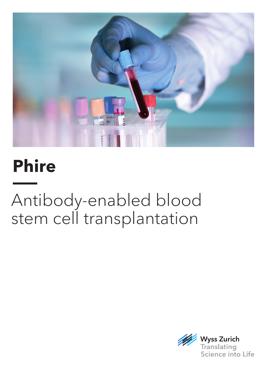

# **Phire**

# Antibody-enabled blood stem cell transplantation